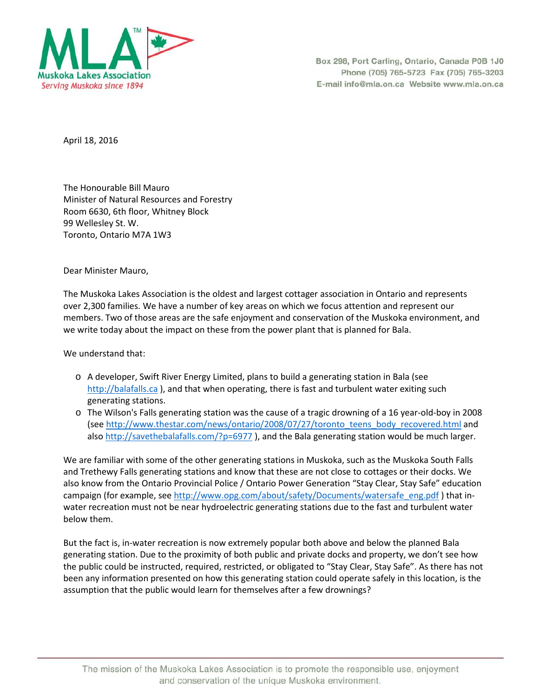

Box 298, Port Carling, Ontario, Canada P0B 1J0 Phone (705) 765-5723 Fax (705) 765-3203 E-mail info@mla.on.ca Website www.mla.on.ca

April 18, 2016

The Honourable Bill Mauro Minister of Natural Resources and Forestry Room 6630, 6th floor, Whitney Block 99 Wellesley St. W. Toronto, Ontario M7A 1W3

Dear Minister Mauro,

The Muskoka Lakes Association is the oldest and largest cottager association in Ontario and represents over 2,300 families. We have a number of key areas on which we focus attention and represent our members. Two of those areas are the safe enjoyment and conservation of the Muskoka environment, and we write today about the impact on these from the power plant that is planned for Bala.

We understand that:

- o A developer, Swift River Energy Limited, plans to build a generating station in Bala (see [http://balafalls.ca](http://balafalls.ca/) ), and that when operating, there is fast and turbulent water exiting such generating stations.
- o The Wilson's Falls generating station was the cause of a tragic drowning of a 16 year-old-boy in 2008 (se[e http://www.thestar.com/news/ontario/2008/07/27/toronto\\_teens\\_body\\_recovered.html](http://www.thestar.com/news/ontario/2008/07/27/toronto_teens_body_recovered.html) and also<http://savethebalafalls.com/?p=6977> ), and the Bala generating station would be much larger.

We are familiar with some of the other generating stations in Muskoka, such as the Muskoka South Falls and Trethewy Falls generating stations and know that these are not close to cottages or their docks. We also know from the Ontario Provincial Police / Ontario Power Generation "Stay Clear, Stay Safe" education campaign (for example, se[e http://www.opg.com/about/safety/Documents/watersafe\\_eng.pdf](http://www.opg.com/about/safety/Documents/watersafe_eng.pdf)) that inwater recreation must not be near hydroelectric generating stations due to the fast and turbulent water below them.

But the fact is, in-water recreation is now extremely popular both above and below the planned Bala generating station. Due to the proximity of both public and private docks and property, we don't see how the public could be instructed, required, restricted, or obligated to "Stay Clear, Stay Safe". As there has not been any information presented on how this generating station could operate safely in this location, is the assumption that the public would learn for themselves after a few drownings?